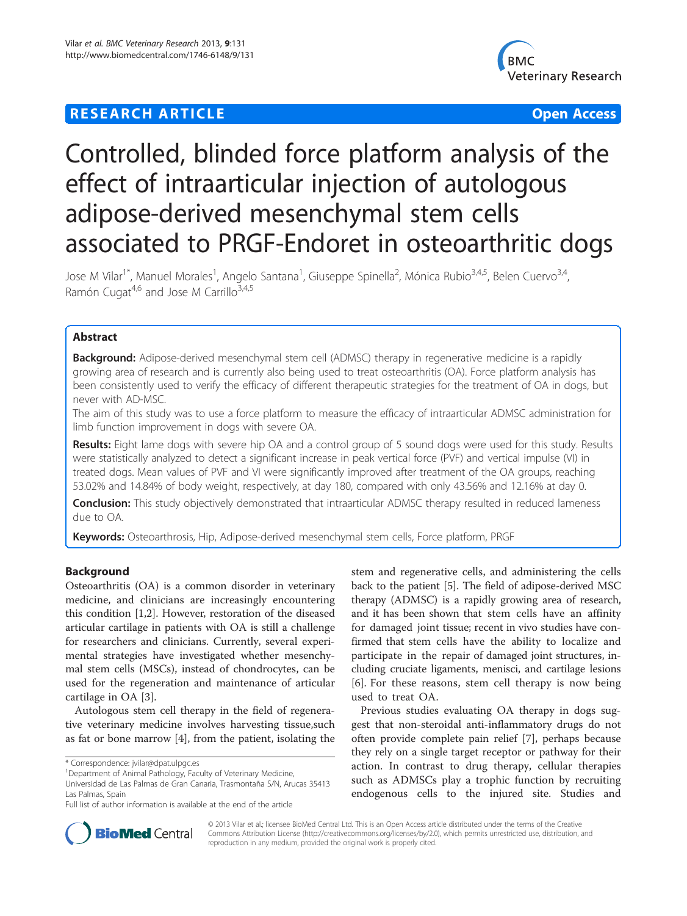## **RESEARCH ARTICLE Example 2018 12:30 THE Open Access**



# Controlled, blinded force platform analysis of the effect of intraarticular injection of autologous adipose-derived mesenchymal stem cells associated to PRGF-Endoret in osteoarthritic dogs

Jose M Vilar<sup>1\*</sup>, Manuel Morales<sup>1</sup>, Angelo Santana<sup>1</sup>, Giuseppe Spinella<sup>2</sup>, Mónica Rubio<sup>3,4,5</sup>, Belen Cuervo<sup>3,4</sup>, Ramón Cugat<sup>4,6</sup> and Jose M Carrillo<sup>3,4,5</sup>

## Abstract

Background: Adipose-derived mesenchymal stem cell (ADMSC) therapy in regenerative medicine is a rapidly growing area of research and is currently also being used to treat osteoarthritis (OA). Force platform analysis has been consistently used to verify the efficacy of different therapeutic strategies for the treatment of OA in dogs, but never with AD-MSC.

The aim of this study was to use a force platform to measure the efficacy of intraarticular ADMSC administration for limb function improvement in dogs with severe OA.

Results: Eight lame dogs with severe hip OA and a control group of 5 sound dogs were used for this study. Results were statistically analyzed to detect a significant increase in peak vertical force (PVF) and vertical impulse (VI) in treated dogs. Mean values of PVF and VI were significantly improved after treatment of the OA groups, reaching 53.02% and 14.84% of body weight, respectively, at day 180, compared with only 43.56% and 12.16% at day 0.

**Conclusion:** This study objectively demonstrated that intraarticular ADMSC therapy resulted in reduced lameness due to OA.

Keywords: Osteoarthrosis, Hip, Adipose-derived mesenchymal stem cells, Force platform, PRGF

## Background

Osteoarthritis (OA) is a common disorder in veterinary medicine, and clinicians are increasingly encountering this condition [\[1,2](#page-4-0)]. However, restoration of the diseased articular cartilage in patients with OA is still a challenge for researchers and clinicians. Currently, several experimental strategies have investigated whether mesenchymal stem cells (MSCs), instead of chondrocytes, can be used for the regeneration and maintenance of articular cartilage in OA [[3](#page-4-0)].

Autologous stem cell therapy in the field of regenerative veterinary medicine involves harvesting tissue,such as fat or bone marrow [[4\]](#page-4-0), from the patient, isolating the

stem and regenerative cells, and administering the cells back to the patient [[5\]](#page-4-0). The field of adipose-derived MSC therapy (ADMSC) is a rapidly growing area of research, and it has been shown that stem cells have an affinity for damaged joint tissue; recent in vivo studies have confirmed that stem cells have the ability to localize and participate in the repair of damaged joint structures, including cruciate ligaments, menisci, and cartilage lesions [[6\]](#page-4-0). For these reasons, stem cell therapy is now being used to treat OA.

Previous studies evaluating OA therapy in dogs suggest that non-steroidal anti-inflammatory drugs do not often provide complete pain relief [\[7\]](#page-5-0), perhaps because they rely on a single target receptor or pathway for their action. In contrast to drug therapy, cellular therapies such as ADMSCs play a trophic function by recruiting endogenous cells to the injured site. Studies and



© 2013 Vilar et al.; licensee BioMed Central Ltd. This is an Open Access article distributed under the terms of the Creative Commons Attribution License [\(http://creativecommons.org/licenses/by/2.0\)](http://creativecommons.org/licenses/by/2.0), which permits unrestricted use, distribution, and reproduction in any medium, provided the original work is properly cited.

<sup>\*</sup> Correspondence: [jvilar@dpat.ulpgc.es](mailto:jvilar@dpat.ulpgc.es) <sup>1</sup>

<sup>&</sup>lt;sup>1</sup>Department of Animal Pathology, Faculty of Veterinary Medicine, Universidad de Las Palmas de Gran Canaria, Trasmontaña S/N, Arucas 35413

Las Palmas, Spain

Full list of author information is available at the end of the article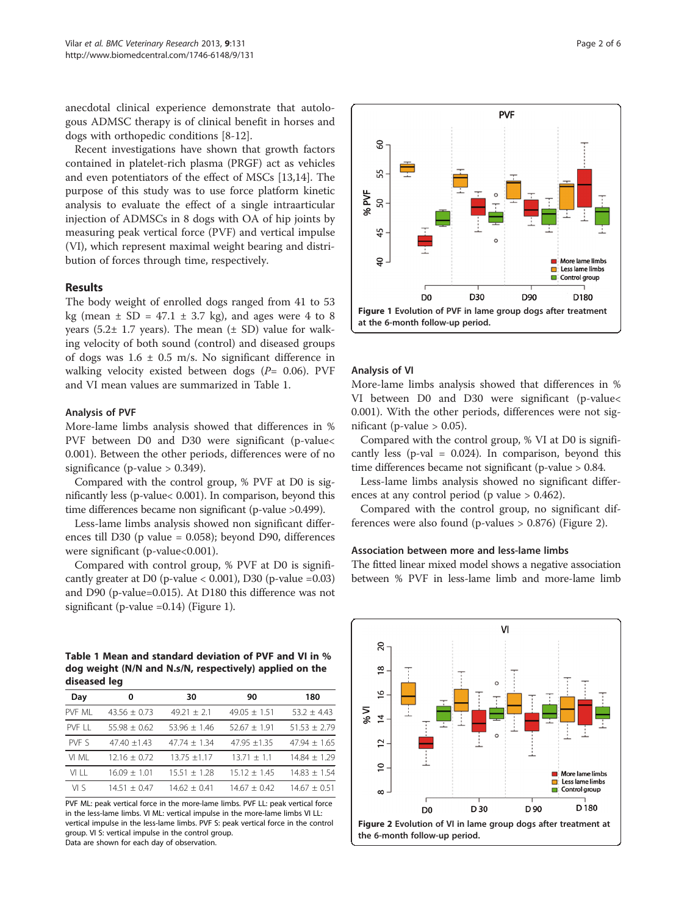anecdotal clinical experience demonstrate that autologous ADMSC therapy is of clinical benefit in horses and dogs with orthopedic conditions [\[8](#page-5-0)-[12\]](#page-5-0).

Recent investigations have shown that growth factors contained in platelet-rich plasma (PRGF) act as vehicles and even potentiators of the effect of MSCs [\[13,14\]](#page-5-0). The purpose of this study was to use force platform kinetic analysis to evaluate the effect of a single intraarticular injection of ADMSCs in 8 dogs with OA of hip joints by measuring peak vertical force (PVF) and vertical impulse (VI), which represent maximal weight bearing and distribution of forces through time, respectively.

### Results

The body weight of enrolled dogs ranged from 41 to 53 kg (mean  $\pm$  SD = 47.1  $\pm$  3.7 kg), and ages were 4 to 8 years (5.2 $\pm$  1.7 years). The mean ( $\pm$  SD) value for walking velocity of both sound (control) and diseased groups of dogs was  $1.6 \pm 0.5$  m/s. No significant difference in walking velocity existed between dogs  $(P= 0.06)$ . PVF and VI mean values are summarized in Table 1.

### Analysis of PVF

More-lame limbs analysis showed that differences in % PVF between D0 and D30 were significant (p-value< 0.001). Between the other periods, differences were of no significance (p-value > 0.349).

Compared with the control group, % PVF at D0 is significantly less (p-value< 0.001). In comparison, beyond this time differences became non significant (p-value >0.499).

Less-lame limbs analysis showed non significant differences till D30 (p value = 0.058); beyond D90, differences were significant (p-value<0.001).

Compared with control group, % PVF at D0 is significantly greater at D0 (p-value  $< 0.001$ ), D30 (p-value =0.03) and D90 (p-value=0.015). At D180 this difference was not significant (p-value  $=0.14$ ) (Figure 1).

Table 1 Mean and standard deviation of PVF and VI in % dog weight (N/N and N.s/N, respectively) applied on the diseased leg

| Day    | 0                | 30               | 90               | 180              |
|--------|------------------|------------------|------------------|------------------|
| PVF MI | $43.56 \pm 0.73$ | $49.21 + 2.1$    | $49.05 \pm 1.51$ | $53.2 \pm 4.43$  |
| PVF 11 | $55.98 \pm 0.62$ | $53.96 \pm 1.46$ | $52.67 + 1.91$   | $51.53 \pm 2.79$ |
| PVF S  | $47.40 \pm 1.43$ | $47.74 + 1.34$   | $47.95 \pm 1.35$ | $47.94 + 1.65$   |
| VI MI  | $12.16 + 0.72$   | $13.75 + 1.17$   | $13.71 + 1.1$    | $14.84 \pm 1.29$ |
| VI I I | $16.09 + 1.01$   | $15.51 + 1.28$   | $15.12 + 1.45$   | $14.83 + 1.54$   |
| VI S   | $14.51 + 0.47$   | $14.62 \pm 0.41$ | $14.67 \pm 0.42$ | $14.67 + 0.51$   |

PVF ML: peak vertical force in the more-lame limbs. PVF LL: peak vertical force in the less-lame limbs. VI ML: vertical impulse in the more-lame limbs VI LL: vertical impulse in the less-lame limbs. PVF S: peak vertical force in the control group. VI S: vertical impulse in the control group.

Data are shown for each day of observation.



#### Analysis of VI

More-lame limbs analysis showed that differences in % VI between D0 and D30 were significant (p-value< 0.001). With the other periods, differences were not significant (p-value  $> 0.05$ ).

Compared with the control group, % VI at D0 is significantly less ( $p$ -val = 0.024). In comparison, beyond this time differences became not significant (p-value > 0.84.

Less-lame limbs analysis showed no significant differences at any control period (p value > 0.462).

Compared with the control group, no significant differences were also found (p-values > 0.876) (Figure 2).

## Association between more and less-lame limbs

The fitted linear mixed model shows a negative association between % PVF in less-lame limb and more-lame limb

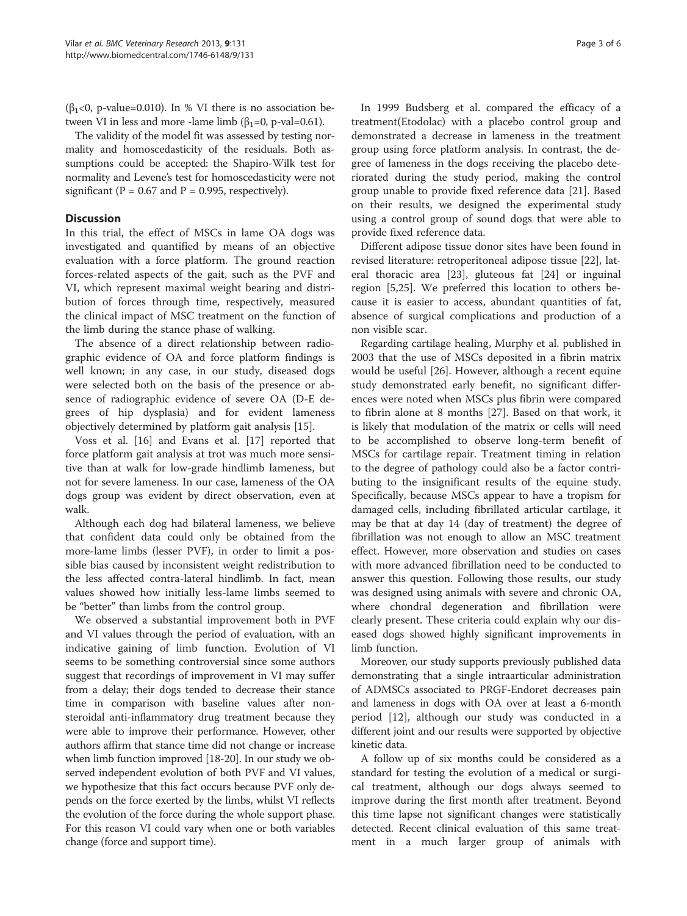( $\beta_1$ <0, p-value=0.010). In % VI there is no association between VI in less and more -lame limb ( $β₁=0$ , p-val=0.61).

The validity of the model fit was assessed by testing normality and homoscedasticity of the residuals. Both assumptions could be accepted: the Shapiro-Wilk test for normality and Levene's test for homoscedasticity were not significant ( $P = 0.67$  and  $P = 0.995$ , respectively).

## **Discussion**

In this trial, the effect of MSCs in lame OA dogs was investigated and quantified by means of an objective evaluation with a force platform. The ground reaction forces-related aspects of the gait, such as the PVF and VI, which represent maximal weight bearing and distribution of forces through time, respectively, measured the clinical impact of MSC treatment on the function of the limb during the stance phase of walking.

The absence of a direct relationship between radiographic evidence of OA and force platform findings is well known; in any case, in our study, diseased dogs were selected both on the basis of the presence or absence of radiographic evidence of severe OA (D-E degrees of hip dysplasia) and for evident lameness objectively determined by platform gait analysis [\[15\]](#page-5-0).

Voss et al. [\[16](#page-5-0)] and Evans et al. [\[17](#page-5-0)] reported that force platform gait analysis at trot was much more sensitive than at walk for low-grade hindlimb lameness, but not for severe lameness. In our case, lameness of the OA dogs group was evident by direct observation, even at walk.

Although each dog had bilateral lameness, we believe that confident data could only be obtained from the more-lame limbs (lesser PVF), in order to limit a possible bias caused by inconsistent weight redistribution to the less affected contra-lateral hindlimb. In fact, mean values showed how initially less-lame limbs seemed to be "better" than limbs from the control group.

We observed a substantial improvement both in PVF and VI values through the period of evaluation, with an indicative gaining of limb function. Evolution of VI seems to be something controversial since some authors suggest that recordings of improvement in VI may suffer from a delay; their dogs tended to decrease their stance time in comparison with baseline values after nonsteroidal anti-inflammatory drug treatment because they were able to improve their performance. However, other authors affirm that stance time did not change or increase when limb function improved [\[18](#page-5-0)-[20](#page-5-0)]. In our study we observed independent evolution of both PVF and VI values, we hypothesize that this fact occurs because PVF only depends on the force exerted by the limbs, whilst VI reflects the evolution of the force during the whole support phase. For this reason VI could vary when one or both variables change (force and support time).

In 1999 Budsberg et al. compared the efficacy of a treatment(Etodolac) with a placebo control group and demonstrated a decrease in lameness in the treatment group using force platform analysis. In contrast, the degree of lameness in the dogs receiving the placebo deteriorated during the study period, making the control group unable to provide fixed reference data [\[21](#page-5-0)]. Based on their results, we designed the experimental study using a control group of sound dogs that were able to provide fixed reference data.

Different adipose tissue donor sites have been found in revised literature: retroperitoneal adipose tissue [[22\]](#page-5-0), lateral thoracic area [[23\]](#page-5-0), gluteous fat [[24\]](#page-5-0) or inguinal region [\[5](#page-4-0)[,25](#page-5-0)]. We preferred this location to others because it is easier to access, abundant quantities of fat, absence of surgical complications and production of a non visible scar.

Regarding cartilage healing, Murphy et al. published in 2003 that the use of MSCs deposited in a fibrin matrix would be useful [\[26](#page-5-0)]. However, although a recent equine study demonstrated early benefit, no significant differences were noted when MSCs plus fibrin were compared to fibrin alone at 8 months [[27\]](#page-5-0). Based on that work, it is likely that modulation of the matrix or cells will need to be accomplished to observe long-term benefit of MSCs for cartilage repair. Treatment timing in relation to the degree of pathology could also be a factor contributing to the insignificant results of the equine study. Specifically, because MSCs appear to have a tropism for damaged cells, including fibrillated articular cartilage, it may be that at day 14 (day of treatment) the degree of fibrillation was not enough to allow an MSC treatment effect. However, more observation and studies on cases with more advanced fibrillation need to be conducted to answer this question. Following those results, our study was designed using animals with severe and chronic OA, where chondral degeneration and fibrillation were clearly present. These criteria could explain why our diseased dogs showed highly significant improvements in limb function.

Moreover, our study supports previously published data demonstrating that a single intraarticular administration of ADMSCs associated to PRGF-Endoret decreases pain and lameness in dogs with OA over at least a 6-month period [\[12](#page-5-0)], although our study was conducted in a different joint and our results were supported by objective kinetic data.

A follow up of six months could be considered as a standard for testing the evolution of a medical or surgical treatment, although our dogs always seemed to improve during the first month after treatment. Beyond this time lapse not significant changes were statistically detected. Recent clinical evaluation of this same treatment in a much larger group of animals with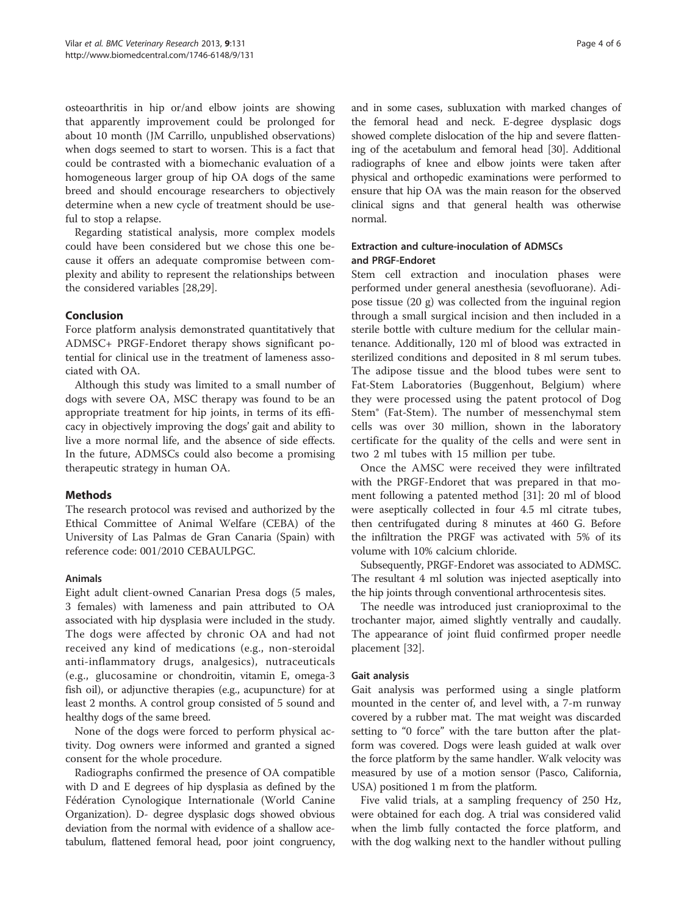osteoarthritis in hip or/and elbow joints are showing that apparently improvement could be prolonged for about 10 month (JM Carrillo, unpublished observations) when dogs seemed to start to worsen. This is a fact that could be contrasted with a biomechanic evaluation of a homogeneous larger group of hip OA dogs of the same breed and should encourage researchers to objectively determine when a new cycle of treatment should be useful to stop a relapse.

Regarding statistical analysis, more complex models could have been considered but we chose this one because it offers an adequate compromise between complexity and ability to represent the relationships between the considered variables [\[28,29\]](#page-5-0).

## Conclusion

Force platform analysis demonstrated quantitatively that ADMSC+ PRGF-Endoret therapy shows significant potential for clinical use in the treatment of lameness associated with OA.

Although this study was limited to a small number of dogs with severe OA, MSC therapy was found to be an appropriate treatment for hip joints, in terms of its efficacy in objectively improving the dogs' gait and ability to live a more normal life, and the absence of side effects. In the future, ADMSCs could also become a promising therapeutic strategy in human OA.

### Methods

The research protocol was revised and authorized by the Ethical Committee of Animal Welfare (CEBA) of the University of Las Palmas de Gran Canaria (Spain) with reference code: 001/2010 CEBAULPGC.

### Animals

Eight adult client-owned Canarian Presa dogs (5 males, 3 females) with lameness and pain attributed to OA associated with hip dysplasia were included in the study. The dogs were affected by chronic OA and had not received any kind of medications (e.g., non-steroidal anti-inflammatory drugs, analgesics), nutraceuticals (e.g., glucosamine or chondroitin, vitamin E, omega-3 fish oil), or adjunctive therapies (e.g., acupuncture) for at least 2 months. A control group consisted of 5 sound and healthy dogs of the same breed.

None of the dogs were forced to perform physical activity. Dog owners were informed and granted a signed consent for the whole procedure.

Radiographs confirmed the presence of OA compatible with D and E degrees of hip dysplasia as defined by the Fédération Cynologique Internationale (World Canine Organization). D- degree dysplasic dogs showed obvious deviation from the normal with evidence of a shallow acetabulum, flattened femoral head, poor joint congruency, and in some cases, subluxation with marked changes of the femoral head and neck. E-degree dysplasic dogs showed complete dislocation of the hip and severe flattening of the acetabulum and femoral head [\[30\]](#page-5-0). Additional radiographs of knee and elbow joints were taken after physical and orthopedic examinations were performed to ensure that hip OA was the main reason for the observed clinical signs and that general health was otherwise normal.

## Extraction and culture-inoculation of ADMSCs and PRGF-Endoret

Stem cell extraction and inoculation phases were performed under general anesthesia (sevofluorane). Adipose tissue (20 g) was collected from the inguinal region through a small surgical incision and then included in a sterile bottle with culture medium for the cellular maintenance. Additionally, 120 ml of blood was extracted in sterilized conditions and deposited in 8 ml serum tubes. The adipose tissue and the blood tubes were sent to Fat-Stem Laboratories (Buggenhout, Belgium) where they were processed using the patent protocol of Dog Stem® (Fat-Stem). The number of messenchymal stem cells was over 30 million, shown in the laboratory certificate for the quality of the cells and were sent in two 2 ml tubes with 15 million per tube.

Once the AMSC were received they were infiltrated with the PRGF-Endoret that was prepared in that moment following a patented method [[31](#page-5-0)]: 20 ml of blood were aseptically collected in four 4.5 ml citrate tubes, then centrifugated during 8 minutes at 460 G. Before the infiltration the PRGF was activated with 5% of its volume with 10% calcium chloride.

Subsequently, PRGF-Endoret was associated to ADMSC. The resultant 4 ml solution was injected aseptically into the hip joints through conventional arthrocentesis sites.

The needle was introduced just cranioproximal to the trochanter major, aimed slightly ventrally and caudally. The appearance of joint fluid confirmed proper needle placement [[32\]](#page-5-0).

### Gait analysis

Gait analysis was performed using a single platform mounted in the center of, and level with, a 7-m runway covered by a rubber mat. The mat weight was discarded setting to "0 force" with the tare button after the platform was covered. Dogs were leash guided at walk over the force platform by the same handler. Walk velocity was measured by use of a motion sensor (Pasco, California, USA) positioned 1 m from the platform.

Five valid trials, at a sampling frequency of 250 Hz, were obtained for each dog. A trial was considered valid when the limb fully contacted the force platform, and with the dog walking next to the handler without pulling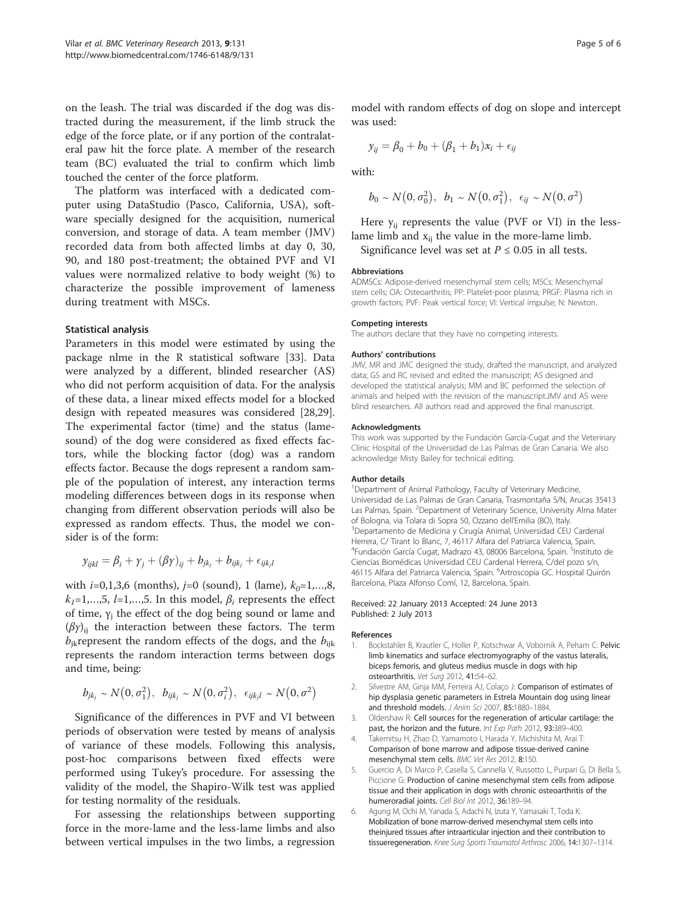<span id="page-4-0"></span>on the leash. The trial was discarded if the dog was distracted during the measurement, if the limb struck the edge of the force plate, or if any portion of the contralateral paw hit the force plate. A member of the research team (BC) evaluated the trial to confirm which limb touched the center of the force platform.

The platform was interfaced with a dedicated computer using DataStudio (Pasco, California, USA), software specially designed for the acquisition, numerical conversion, and storage of data. A team member (JMV) recorded data from both affected limbs at day 0, 30, 90, and 180 post-treatment; the obtained PVF and VI values were normalized relative to body weight (%) to characterize the possible improvement of lameness during treatment with MSCs.

#### Statistical analysis

Parameters in this model were estimated by using the package nlme in the R statistical software [[33\]](#page-5-0). Data were analyzed by a different, blinded researcher (AS) who did not perform acquisition of data. For the analysis of these data, a linear mixed effects model for a blocked design with repeated measures was considered [\[28,29](#page-5-0)]. The experimental factor (time) and the status (lamesound) of the dog were considered as fixed effects factors, while the blocking factor (dog) was a random effects factor. Because the dogs represent a random sample of the population of interest, any interaction terms modeling differences between dogs in its response when changing from different observation periods will also be expressed as random effects. Thus, the model we consider is of the form:

$$
y_{ijkl} = \beta_i + \gamma_j + (\beta \gamma)_{ij} + b_{jk_j} + b_{ijk_j} + \epsilon_{ijk_j}l
$$

with  $i=0,1,3,6$  (months),  $j=0$  (sound), 1 (lame),  $k_0=1,...,8$ ,  $k_1=1,\ldots,5$ ,  $l=1,\ldots,5$ . In this model,  $\beta_i$  represents the effect of time,  $y_i$  the effect of the dog being sound or lame and  $(\beta \gamma)_{ii}$  the interaction between these factors. The term  $b_{ik}$  represent the random effects of the dogs, and the  $b_{iik}$ represents the random interaction terms between dogs and time, being:

$$
b_{jk_j} \sim N\big(0, \sigma_1^2\big), b_{ijk_j} \sim N\big(0, \sigma_i^2\big), \epsilon_{ijk_jl} \sim N\big(0, \sigma^2\big)
$$

Significance of the differences in PVF and VI between periods of observation were tested by means of analysis of variance of these models. Following this analysis, post-hoc comparisons between fixed effects were performed using Tukey's procedure. For assessing the validity of the model, the Shapiro-Wilk test was applied for testing normality of the residuals.

For assessing the relationships between supporting force in the more-lame and the less-lame limbs and also between vertical impulses in the two limbs, a regression model with random effects of dog on slope and intercept was used:

$$
y_{ij} = \beta_0 + b_0 + (\beta_1 + b_1)x_i + \epsilon_{ij}
$$

with:

$$
b_0 \sim N\big(0, \sigma_0^2\big), b_1 \sim N\big(0, \sigma_1^2\big), \epsilon_{ij} \sim N\big(0, \sigma^2\big)
$$

Here  $y_{ii}$  represents the value (PVF or VI) in the lesslame limb and  $x_{ii}$  the value in the more-lame limb. Significance level was set at  $P \leq 0.05$  in all tests.

Abbreviations

ADMSCs: Adipose-derived mesenchymal stem cells; MSCs: Mesenchymal stem cells; OA: Osteoarthritis; PP: Platelet-poor plasma; PRGF: Plasma rich in growth factors; PVF: Peak vertical force; VI: Vertical impulse; N: Newton.

#### Competing interests

The authors declare that they have no competing interests.

#### Authors' contributions

JMV, MR and JMC designed the study, drafted the manuscript, and analyzed data; GS and RC revised and edited the manuscript; AS designed and developed the statistical analysis; MM and BC performed the selection of animals and helped with the revision of the manuscript.JMV and AS were blind researchers. All authors read and approved the final manuscript.

#### Acknowledgments

This work was supported by the Fundación García-Cugat and the Veterinary Clinic Hospital of the Universidad de Las Palmas de Gran Canaria. We also acknowledge Misty Bailey for technical editing.

#### Author details

<sup>1</sup> Department of Animal Pathology, Faculty of Veterinary Medicine, Universidad de Las Palmas de Gran Canaria, Trasmontaña S/N, Arucas 35413 Las Palmas, Spain. <sup>2</sup>Department of Veterinary Science, University Alma Mater of Bologna, via Tolara di Sopra 50, Ozzano dell'Emilia (BO), Italy. <sup>3</sup>Departamento de Medicina y Cirugía Animal, Universidad CEU Cardenal Herrera, C/ Tirant lo Blanc, 7, 46117 Alfara del Patriarca Valencia, Spain. <sup>4</sup>Fundación García Cugat, Madrazo 43, 08006 Barcelona, Spain. <sup>5</sup>Instituto de Ciencias Biomédicas Universidad CEU Cardenal Herrera, C/del pozo s/n, 46115 Alfara del Patriarca Valencia, Spain. <sup>6</sup>Artroscopia GC. Hospital Quirón Barcelona, Plaza Alfonso Comí, 12, Barcelona, Spain.

#### Received: 22 January 2013 Accepted: 24 June 2013 Published: 2 July 2013

#### References

- Bockstahler B, Krautler C, Holler P, Kotschwar A, Vobornik A, Peham C: Pelvic limb kinematics and surface electromyography of the vastus lateralis, biceps femoris, and gluteus medius muscle in dogs with hip osteoarthritis. Vet Surg 2012, 41:54–62.
- 2. Silvestre AM, Ginja MM, Ferreira AJ, Colaço J: Comparison of estimates of hip dysplasia genetic parameters in Estrela Mountain dog using linear and threshold models. J Anim Sci 2007, 85:1880-1884
- 3. Oldershaw R: Cell sources for the regeneration of articular cartilage: the past, the horizon and the future. Int Exp Path 2012, 93:389–400.
- 4. Takemitsu H, Zhao D, Yamamoto I, Harada Y, Michishita M, Arai T: Comparison of bone marrow and adipose tissue-derived canine mesenchymal stem cells. BMC Vet Res 2012, 8:150.
- 5. Guercio A, Di Marco P, Casella S, Cannella V, Russotto L, Purpari G, Di Bella S, Piccione G: Production of canine mesenchymal stem cells from adipose tissue and their application in dogs with chronic osteoarthritis of the humeroradial joints. Cell Biol Int 2012, 36:189–94.
- 6. Agung M, Ochi M, Yanada S, Adachi N, Izuta Y, Yamasaki T, Toda K: Mobilization of bone marrow-derived mesenchymal stem cells into theinjured tissues after intraarticular injection and their contribution to tissueregeneration. Knee Surg Sports Traumatol Arthrosc 2006, 14:1307–1314.